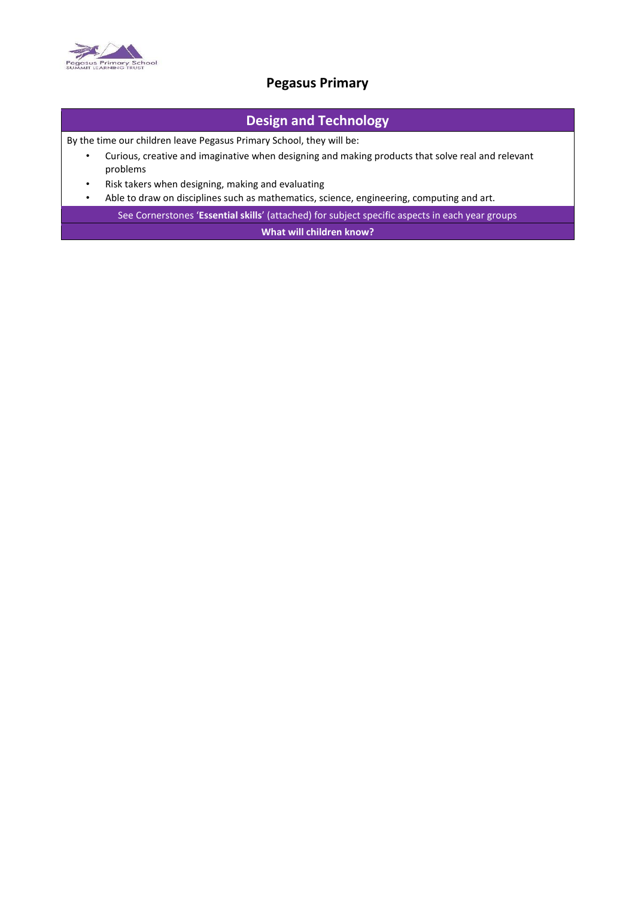

# **Pegasus Primary**

# **Design and Technology**

By the time our children leave Pegasus Primary School, they will be:

- Curious, creative and imaginative when designing and making products that solve real and relevant problems
- Risk takers when designing, making and evaluating
- Able to draw on disciplines such as mathematics, science, engineering, computing and art.

See Cornerstones '**Essential skills**' (attached) for subject specific aspects in each year groups

**What will children know?**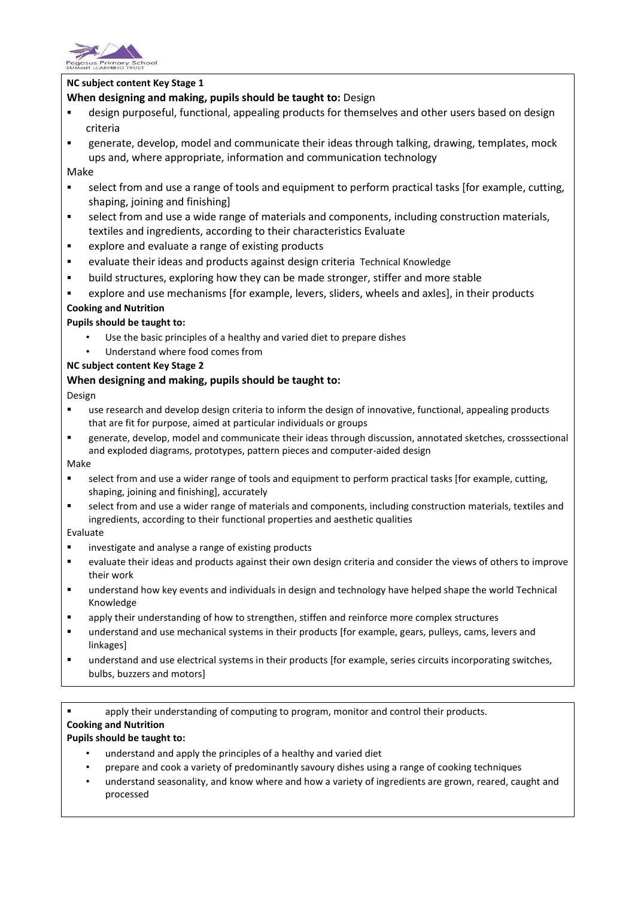

#### **NC subject content Key Stage 1**

**When designing and making, pupils should be taught to:** Design

- design purposeful, functional, appealing products for themselves and other users based on design criteria
- generate, develop, model and communicate their ideas through talking, drawing, templates, mock ups and, where appropriate, information and communication technology

Make

- select from and use a range of tools and equipment to perform practical tasks [for example, cutting, shaping, joining and finishing]
- select from and use a wide range of materials and components, including construction materials, textiles and ingredients, according to their characteristics Evaluate
- explore and evaluate a range of existing products
- evaluate their ideas and products against design criteria Technical Knowledge
- build structures, exploring how they can be made stronger, stiffer and more stable
- explore and use mechanisms [for example, levers, sliders, wheels and axles], in their products

#### **Cooking and Nutrition**

**Pupils should be taught to:** 

- Use the basic principles of a healthy and varied diet to prepare dishes
- Understand where food comes from

#### **NC subject content Key Stage 2**

### **When designing and making, pupils should be taught to:**

Design

- use research and develop design criteria to inform the design of innovative, functional, appealing products that are fit for purpose, aimed at particular individuals or groups
- generate, develop, model and communicate their ideas through discussion, annotated sketches, crosssectional and exploded diagrams, prototypes, pattern pieces and computer-aided design

Make

- select from and use a wider range of tools and equipment to perform practical tasks [for example, cutting, shaping, joining and finishing], accurately
- select from and use a wider range of materials and components, including construction materials, textiles and ingredients, according to their functional properties and aesthetic qualities

Evaluate

- **EXECUTE:** investigate and analyse a range of existing products
- evaluate their ideas and products against their own design criteria and consider the views of others to improve their work
- understand how key events and individuals in design and technology have helped shape the world Technical Knowledge
- apply their understanding of how to strengthen, stiffen and reinforce more complex structures
- understand and use mechanical systems in their products [for example, gears, pulleys, cams, levers and linkages]
- understand and use electrical systems in their products [for example, series circuits incorporating switches, bulbs, buzzers and motors]

## apply their understanding of computing to program, monitor and control their products.

#### **Cooking and Nutrition Pupils should be taught to:**

## • understand and apply the principles of a healthy and varied diet

- prepare and cook a variety of predominantly savoury dishes using a range of cooking techniques
- understand seasonality, and know where and how a variety of ingredients are grown, reared, caught and processed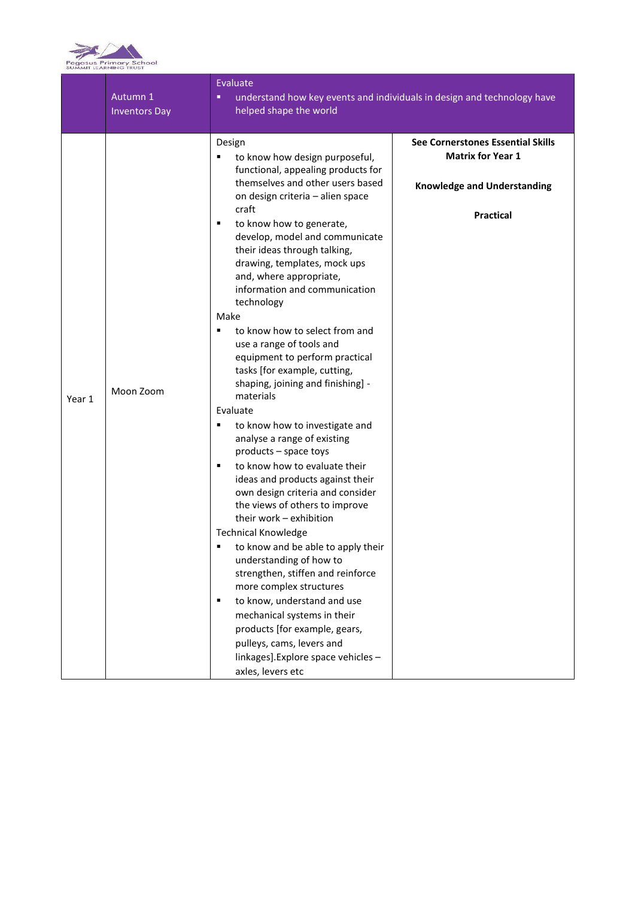

|        | Autumn 1<br><b>Inventors Day</b> | Evaluate<br>π<br>understand how key events and individuals in design and technology have<br>helped shape the world                                                                                                                                                                                                                                                                                                                                                                                                                                                                                                                                                                                                                                                                                                                                                                                                                                                                                                                                                                                                                                                                                                 |                                                                                                                         |  |  |  |
|--------|----------------------------------|--------------------------------------------------------------------------------------------------------------------------------------------------------------------------------------------------------------------------------------------------------------------------------------------------------------------------------------------------------------------------------------------------------------------------------------------------------------------------------------------------------------------------------------------------------------------------------------------------------------------------------------------------------------------------------------------------------------------------------------------------------------------------------------------------------------------------------------------------------------------------------------------------------------------------------------------------------------------------------------------------------------------------------------------------------------------------------------------------------------------------------------------------------------------------------------------------------------------|-------------------------------------------------------------------------------------------------------------------------|--|--|--|
| Year 1 | Moon Zoom                        | Design<br>to know how design purposeful,<br>٠<br>functional, appealing products for<br>themselves and other users based<br>on design criteria - alien space<br>craft<br>to know how to generate,<br>٠<br>develop, model and communicate<br>their ideas through talking,<br>drawing, templates, mock ups<br>and, where appropriate,<br>information and communication<br>technology<br>Make<br>to know how to select from and<br>٠<br>use a range of tools and<br>equipment to perform practical<br>tasks [for example, cutting,<br>shaping, joining and finishing] -<br>materials<br>Evaluate<br>to know how to investigate and<br>٠<br>analyse a range of existing<br>products - space toys<br>to know how to evaluate their<br>٠<br>ideas and products against their<br>own design criteria and consider<br>the views of others to improve<br>their work - exhibition<br><b>Technical Knowledge</b><br>to know and be able to apply their<br>٠<br>understanding of how to<br>strengthen, stiffen and reinforce<br>more complex structures<br>to know, understand and use<br>٠<br>mechanical systems in their<br>products [for example, gears,<br>pulleys, cams, levers and<br>linkages]. Explore space vehicles - | See Cornerstones Essential Skills<br><b>Matrix for Year 1</b><br><b>Knowledge and Understanding</b><br><b>Practical</b> |  |  |  |
|        |                                  | axles, levers etc                                                                                                                                                                                                                                                                                                                                                                                                                                                                                                                                                                                                                                                                                                                                                                                                                                                                                                                                                                                                                                                                                                                                                                                                  |                                                                                                                         |  |  |  |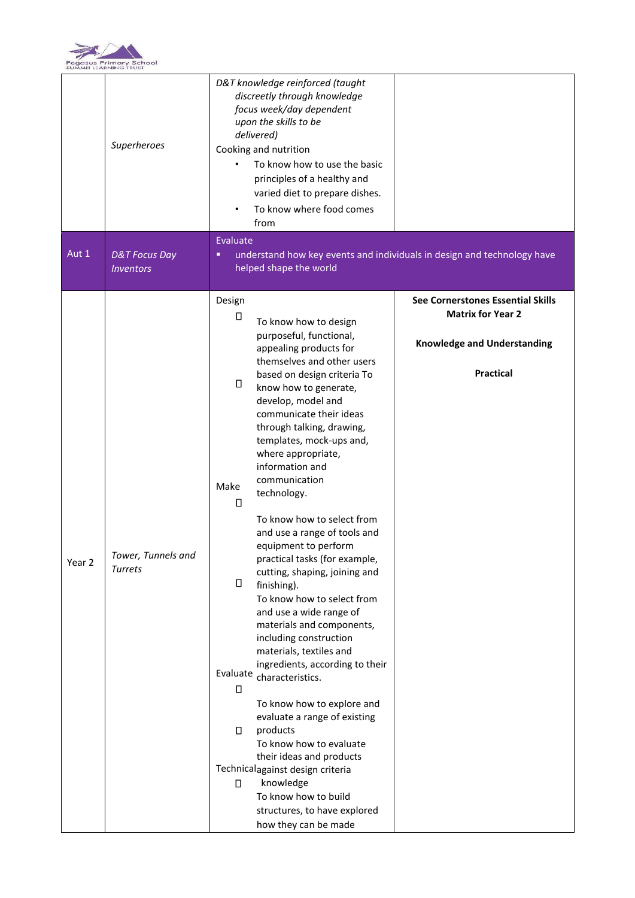

|                   | Superheroes                                  | D&T knowledge reinforced (taught<br>discreetly through knowledge<br>focus week/day dependent<br>upon the skills to be<br>delivered)<br>Cooking and nutrition<br>To know how to use the basic<br>$\bullet$<br>principles of a healthy and<br>varied diet to prepare dishes.<br>To know where food comes<br>from                                                                                                                                                                                                                                                                                                                                                                                                                                                                                                                                                                                                                                                                                                                                                                   |                                                                                                                                |
|-------------------|----------------------------------------------|----------------------------------------------------------------------------------------------------------------------------------------------------------------------------------------------------------------------------------------------------------------------------------------------------------------------------------------------------------------------------------------------------------------------------------------------------------------------------------------------------------------------------------------------------------------------------------------------------------------------------------------------------------------------------------------------------------------------------------------------------------------------------------------------------------------------------------------------------------------------------------------------------------------------------------------------------------------------------------------------------------------------------------------------------------------------------------|--------------------------------------------------------------------------------------------------------------------------------|
| Aut 1             | <b>D&amp;T Focus Day</b><br><b>Inventors</b> | Evaluate<br>Ξ<br>helped shape the world                                                                                                                                                                                                                                                                                                                                                                                                                                                                                                                                                                                                                                                                                                                                                                                                                                                                                                                                                                                                                                          | understand how key events and individuals in design and technology have                                                        |
| Year <sub>2</sub> | Tower, Tunnels and<br>Turrets                | Design<br>$\Box$<br>To know how to design<br>purposeful, functional,<br>appealing products for<br>themselves and other users<br>based on design criteria To<br>П<br>know how to generate,<br>develop, model and<br>communicate their ideas<br>through talking, drawing,<br>templates, mock-ups and,<br>where appropriate,<br>information and<br>communication<br>Make<br>technology.<br>П<br>To know how to select from<br>and use a range of tools and<br>equipment to perform<br>practical tasks (for example,<br>cutting, shaping, joining and<br>П<br>finishing).<br>To know how to select from<br>and use a wide range of<br>materials and components,<br>including construction<br>materials, textiles and<br>ingredients, according to their<br>Evaluate characteristics.<br>$\Box$<br>To know how to explore and<br>evaluate a range of existing<br>products<br>$\Box$<br>To know how to evaluate<br>their ideas and products<br>Technicalagainst design criteria<br>knowledge<br>$\Box$<br>To know how to build<br>structures, to have explored<br>how they can be made | <b>See Cornerstones Essential Skills</b><br><b>Matrix for Year 2</b><br><b>Knowledge and Understanding</b><br><b>Practical</b> |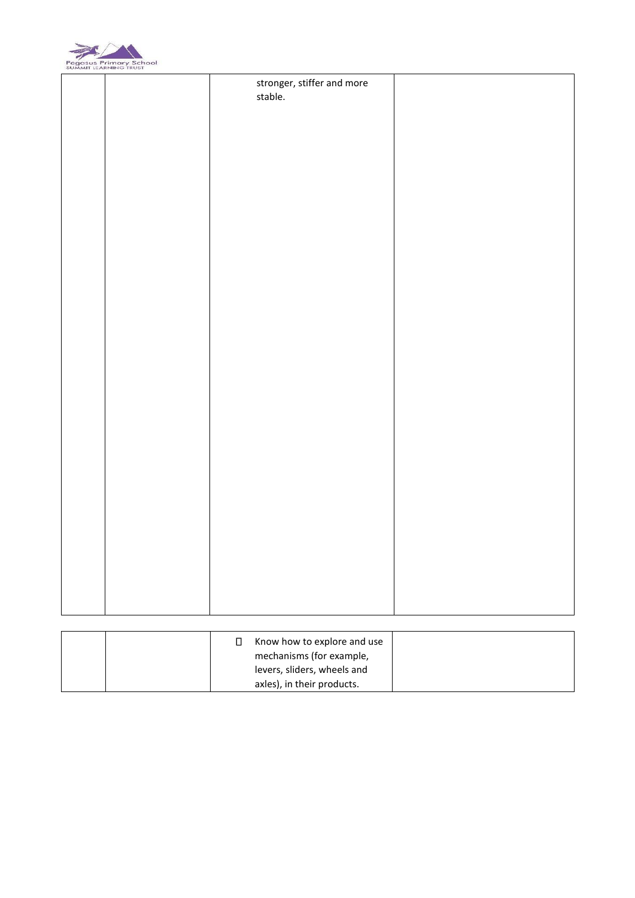

|  | stronger, stiffer and more |  |
|--|----------------------------|--|
|  | stable.                    |  |
|  |                            |  |
|  |                            |  |
|  |                            |  |
|  |                            |  |
|  |                            |  |
|  |                            |  |
|  |                            |  |
|  |                            |  |
|  |                            |  |
|  |                            |  |
|  |                            |  |
|  |                            |  |
|  |                            |  |
|  |                            |  |
|  |                            |  |
|  |                            |  |
|  |                            |  |
|  |                            |  |
|  |                            |  |
|  |                            |  |
|  |                            |  |
|  |                            |  |
|  |                            |  |
|  |                            |  |
|  |                            |  |
|  |                            |  |
|  |                            |  |
|  |                            |  |
|  |                            |  |
|  |                            |  |
|  |                            |  |
|  |                            |  |

|  | Know how to explore and use |  |
|--|-----------------------------|--|
|  | mechanisms (for example,    |  |
|  | levers, sliders, wheels and |  |
|  | axles), in their products.  |  |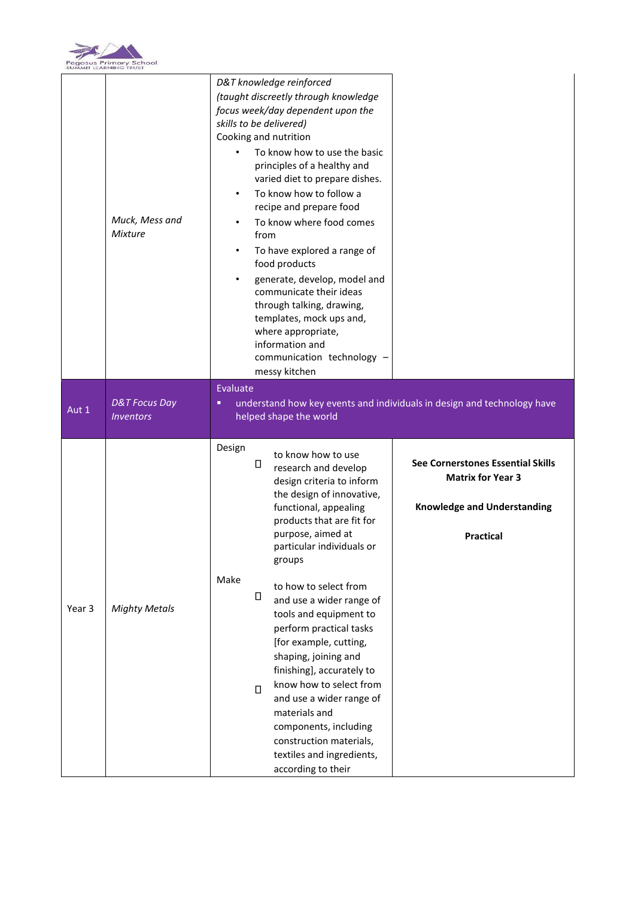

|        | Muck, Mess and<br><b>Mixture</b>                           | D&T knowledge reinforced<br>(taught discreetly through knowledge<br>focus week/day dependent upon the<br>skills to be delivered)<br>Cooking and nutrition<br>To know how to use the basic<br>principles of a healthy and<br>varied diet to prepare dishes.<br>To know how to follow a<br>$\bullet$<br>recipe and prepare food<br>To know where food comes<br>from<br>To have explored a range of<br>food products<br>generate, develop, model and<br>communicate their ideas<br>through talking, drawing,<br>templates, mock ups and,<br>where appropriate,<br>information and<br>communication technology -<br>messy kitchen                                                                                                                              |
|--------|------------------------------------------------------------|------------------------------------------------------------------------------------------------------------------------------------------------------------------------------------------------------------------------------------------------------------------------------------------------------------------------------------------------------------------------------------------------------------------------------------------------------------------------------------------------------------------------------------------------------------------------------------------------------------------------------------------------------------------------------------------------------------------------------------------------------------|
| Aut 1  | <b>D&amp;T Focus Day</b><br><i><u><b>Inventors</b></u></i> | Evaluate<br>understand how key events and individuals in design and technology have<br>Ξ<br>helped shape the world                                                                                                                                                                                                                                                                                                                                                                                                                                                                                                                                                                                                                                         |
| Year 3 | <b>Mighty Metals</b>                                       | Design<br>to know how to use<br>See Cornerstones Essential Skills<br>П<br>research and develop<br><b>Matrix for Year 3</b><br>design criteria to inform<br>the design of innovative,<br><b>Knowledge and Understanding</b><br>functional, appealing<br>products that are fit for<br>purpose, aimed at<br><b>Practical</b><br>particular individuals or<br>groups<br>Make<br>to how to select from<br>П<br>and use a wider range of<br>tools and equipment to<br>perform practical tasks<br>[for example, cutting,<br>shaping, joining and<br>finishing], accurately to<br>know how to select from<br>П<br>and use a wider range of<br>materials and<br>components, including<br>construction materials,<br>textiles and ingredients,<br>according to their |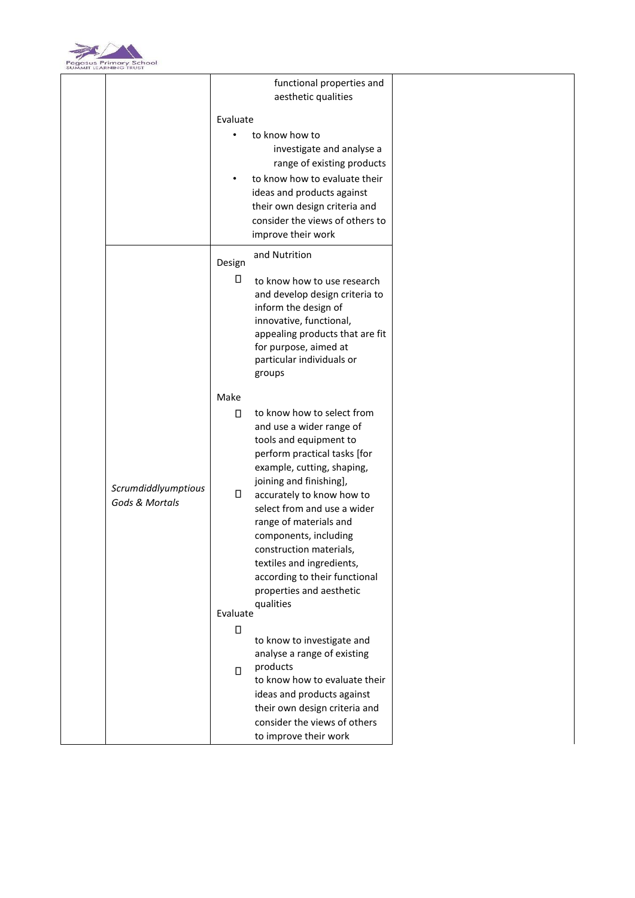

|                                       | functional properties and<br>aesthetic qualities                                                                                                                                                                                         |  |
|---------------------------------------|------------------------------------------------------------------------------------------------------------------------------------------------------------------------------------------------------------------------------------------|--|
|                                       | Evaluate<br>to know how to<br>investigate and analyse a<br>range of existing products<br>to know how to evaluate their<br>ideas and products against<br>their own design criteria and<br>consider the views of others to                 |  |
|                                       | improve their work<br>and Nutrition<br>Design                                                                                                                                                                                            |  |
|                                       | Π.<br>to know how to use research<br>and develop design criteria to<br>inform the design of<br>innovative, functional,<br>appealing products that are fit<br>for purpose, aimed at<br>particular individuals or<br>groups                |  |
| Scrumdiddlyumptious<br>Gods & Mortals | Make<br>to know how to select from<br>П<br>and use a wider range of<br>tools and equipment to<br>perform practical tasks [for<br>example, cutting, shaping,<br>joining and finishing],<br>Π.<br>accurately to know how to                |  |
|                                       | select from and use a wider<br>range of materials and<br>components, including<br>construction materials,<br>textiles and ingredients,<br>according to their functional<br>properties and aesthetic<br>qualities<br>Evaluate             |  |
|                                       | П<br>to know to investigate and<br>analyse a range of existing<br>products<br>П<br>to know how to evaluate their<br>ideas and products against<br>their own design criteria and<br>consider the views of others<br>to improve their work |  |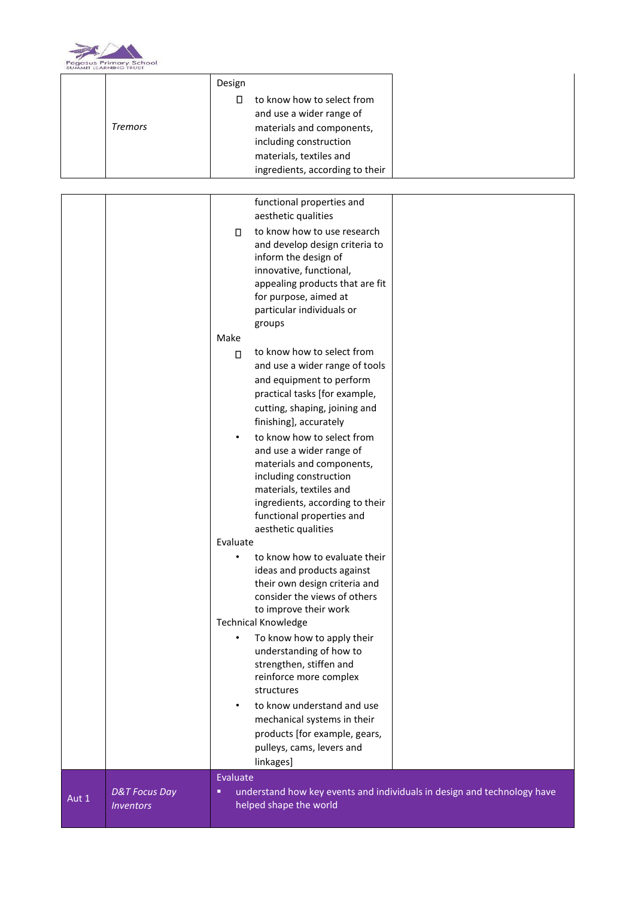

|         | Design |                                 |
|---------|--------|---------------------------------|
|         |        | to know how to select from      |
|         |        | and use a wider range of        |
| Tremors |        | materials and components,       |
|         |        | including construction          |
|         |        | materials, textiles and         |
|         |        | ingredients, according to their |

|       |                                              | functional properties and<br>aesthetic qualities<br>to know how to use research<br>П.<br>and develop design criteria to<br>inform the design of<br>innovative, functional,<br>appealing products that are fit<br>for purpose, aimed at<br>particular individuals or<br>groups                                                                                                                                                                                                                                                     |
|-------|----------------------------------------------|-----------------------------------------------------------------------------------------------------------------------------------------------------------------------------------------------------------------------------------------------------------------------------------------------------------------------------------------------------------------------------------------------------------------------------------------------------------------------------------------------------------------------------------|
|       |                                              | Make<br>to know how to select from<br>$\Box$<br>and use a wider range of tools<br>and equipment to perform<br>practical tasks [for example,<br>cutting, shaping, joining and<br>finishing], accurately<br>to know how to select from<br>$\bullet$<br>and use a wider range of<br>materials and components,<br>including construction<br>materials, textiles and<br>ingredients, according to their<br>functional properties and                                                                                                   |
|       |                                              | aesthetic qualities<br>Evaluate<br>to know how to evaluate their<br>$\bullet$<br>ideas and products against<br>their own design criteria and<br>consider the views of others<br>to improve their work<br><b>Technical Knowledge</b><br>To know how to apply their<br>$\bullet$<br>understanding of how to<br>strengthen, stiffen and<br>reinforce more complex<br>structures<br>to know understand and use<br>$\bullet$<br>mechanical systems in their<br>products [for example, gears,<br>pulleys, cams, levers and<br>linkages] |
| Aut 1 | <b>D&amp;T Focus Day</b><br><b>Inventors</b> | Evaluate<br>understand how key events and individuals in design and technology have<br>п<br>helped shape the world                                                                                                                                                                                                                                                                                                                                                                                                                |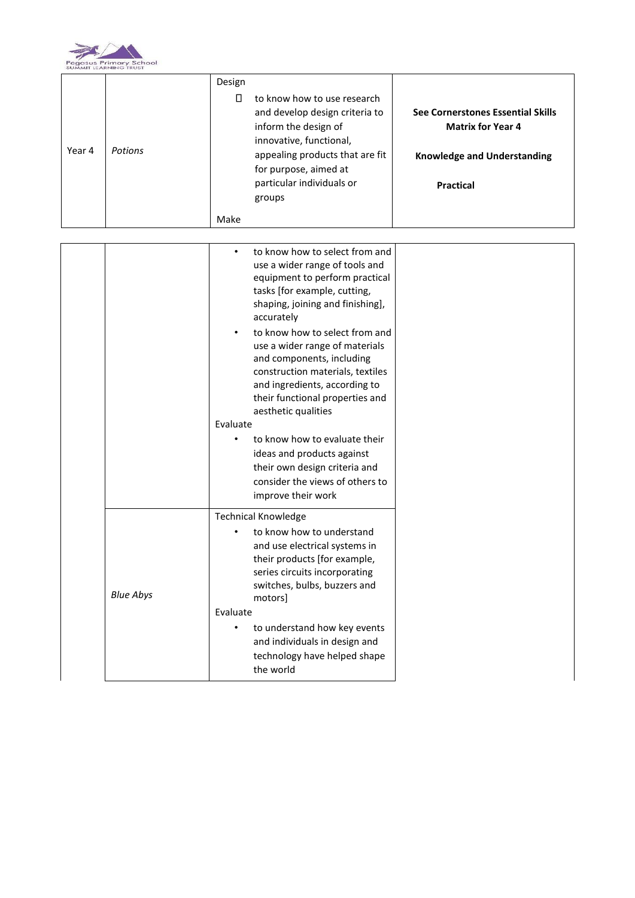

| Year 4 | Potions          | Design<br>0<br>to know how to use research<br>and develop design criteria to<br>inform the design of<br>innovative, functional,<br>appealing products that are fit<br>for purpose, aimed at<br>particular individuals or<br>groups<br>Make                                                                                                                                                                                                                                                                                                                                                             | See Cornerstones Essential Skills<br><b>Matrix for Year 4</b><br><b>Knowledge and Understanding</b><br><b>Practical</b> |
|--------|------------------|--------------------------------------------------------------------------------------------------------------------------------------------------------------------------------------------------------------------------------------------------------------------------------------------------------------------------------------------------------------------------------------------------------------------------------------------------------------------------------------------------------------------------------------------------------------------------------------------------------|-------------------------------------------------------------------------------------------------------------------------|
|        |                  | to know how to select from and<br>$\bullet$<br>use a wider range of tools and<br>equipment to perform practical<br>tasks [for example, cutting,<br>shaping, joining and finishing],<br>accurately<br>to know how to select from and<br>use a wider range of materials<br>and components, including<br>construction materials, textiles<br>and ingredients, according to<br>their functional properties and<br>aesthetic qualities<br>Evaluate<br>to know how to evaluate their<br>ideas and products against<br>their own design criteria and<br>consider the views of others to<br>improve their work |                                                                                                                         |
|        | <b>Blue Abys</b> | <b>Technical Knowledge</b><br>to know how to understand<br>and use electrical systems in<br>their products [for example,<br>series circuits incorporating<br>switches, bulbs, buzzers and<br>motors]<br>Evaluate<br>to understand how key events<br>$\bullet$<br>and individuals in design and<br>technology have helped shape<br>the world                                                                                                                                                                                                                                                            |                                                                                                                         |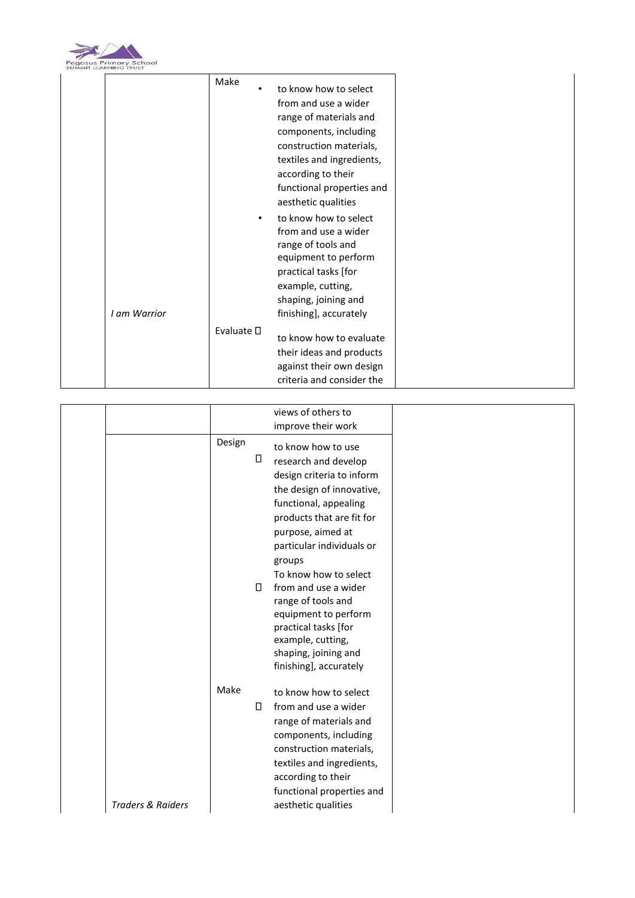

|              | Make               | to know how to select<br>from and use a wider                                                                                                                                              |
|--------------|--------------------|--------------------------------------------------------------------------------------------------------------------------------------------------------------------------------------------|
|              |                    | range of materials and<br>components, including                                                                                                                                            |
|              |                    | construction materials,                                                                                                                                                                    |
|              |                    | textiles and ingredients,                                                                                                                                                                  |
|              |                    | according to their<br>functional properties and<br>aesthetic qualities                                                                                                                     |
| I am Warrior | $\bullet$          | to know how to select<br>from and use a wider<br>range of tools and<br>equipment to perform<br>practical tasks [for<br>example, cutting,<br>shaping, joining and<br>finishing], accurately |
|              | Evaluate $\square$ | to know how to evaluate                                                                                                                                                                    |
|              |                    | their ideas and products                                                                                                                                                                   |
|              |                    | against their own design                                                                                                                                                                   |
|              |                    | criteria and consider the                                                                                                                                                                  |

|                              |        |   | views of others to        |
|------------------------------|--------|---|---------------------------|
|                              |        |   | improve their work        |
|                              | Design |   | to know how to use        |
|                              |        | П | research and develop      |
|                              |        |   | design criteria to inform |
|                              |        |   | the design of innovative, |
|                              |        |   | functional, appealing     |
|                              |        |   | products that are fit for |
|                              |        |   | purpose, aimed at         |
|                              |        |   | particular individuals or |
|                              |        |   | groups                    |
|                              |        |   | To know how to select     |
|                              |        | П | from and use a wider      |
|                              |        |   | range of tools and        |
|                              |        |   | equipment to perform      |
|                              |        |   | practical tasks [for      |
|                              |        |   | example, cutting,         |
|                              |        |   | shaping, joining and      |
|                              |        |   | finishing], accurately    |
|                              | Make   |   | to know how to select     |
|                              |        | П | from and use a wider      |
|                              |        |   | range of materials and    |
|                              |        |   | components, including     |
|                              |        |   | construction materials,   |
|                              |        |   | textiles and ingredients, |
|                              |        |   | according to their        |
|                              |        |   | functional properties and |
| <b>Traders &amp; Raiders</b> |        |   | aesthetic qualities       |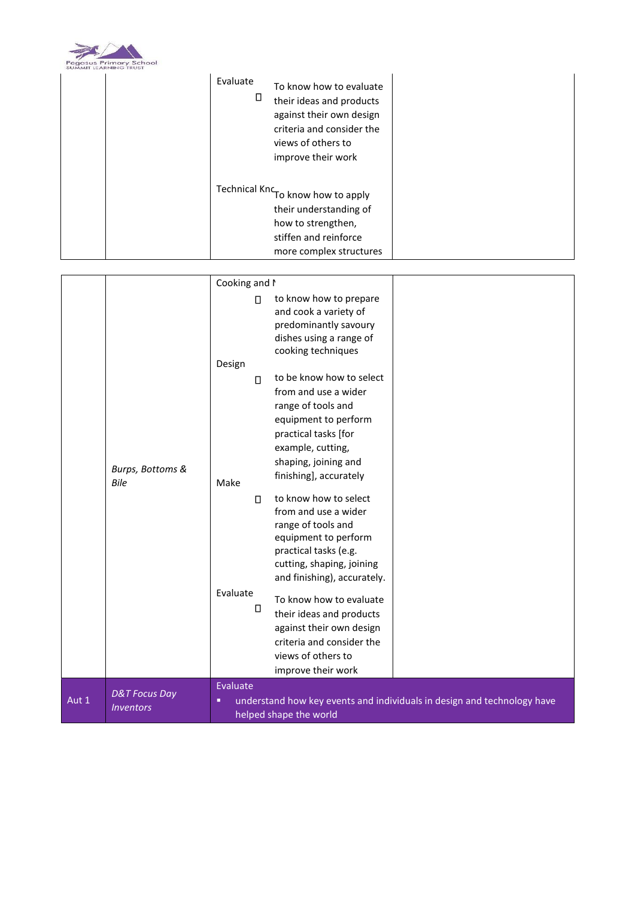

| Evaluate<br>To know how to evaluate<br>□<br>their ideas and products<br>against their own design<br>criteria and consider the<br>views of others to<br>improve their work |  |
|---------------------------------------------------------------------------------------------------------------------------------------------------------------------------|--|
| Technical Knc <sub>To</sub> know how to apply<br>their understanding of<br>how to strengthen,<br>stiffen and reinforce<br>more complex structures                         |  |

|       |                                              | Cooking and I                                                                                                                                                                              |
|-------|----------------------------------------------|--------------------------------------------------------------------------------------------------------------------------------------------------------------------------------------------|
|       |                                              | to know how to prepare<br>$\Box$<br>and cook a variety of<br>predominantly savoury<br>dishes using a range of<br>cooking techniques                                                        |
|       |                                              | Design                                                                                                                                                                                     |
|       |                                              | to be know how to select<br>П<br>from and use a wider<br>range of tools and<br>equipment to perform<br>practical tasks [for<br>example, cutting,                                           |
|       | Burps, Bottoms &<br><b>Bile</b>              | shaping, joining and<br>finishing], accurately<br>Make                                                                                                                                     |
|       |                                              | to know how to select<br>$\Box$<br>from and use a wider<br>range of tools and<br>equipment to perform<br>practical tasks (e.g.<br>cutting, shaping, joining<br>and finishing), accurately. |
|       |                                              | Evaluate<br>To know how to evaluate<br>П<br>their ideas and products<br>against their own design<br>criteria and consider the<br>views of others to<br>improve their work                  |
| Aut 1 | <b>D&amp;T Focus Day</b><br><b>Inventors</b> | Evaluate<br>understand how key events and individuals in design and technology have<br>п<br>helped shape the world                                                                         |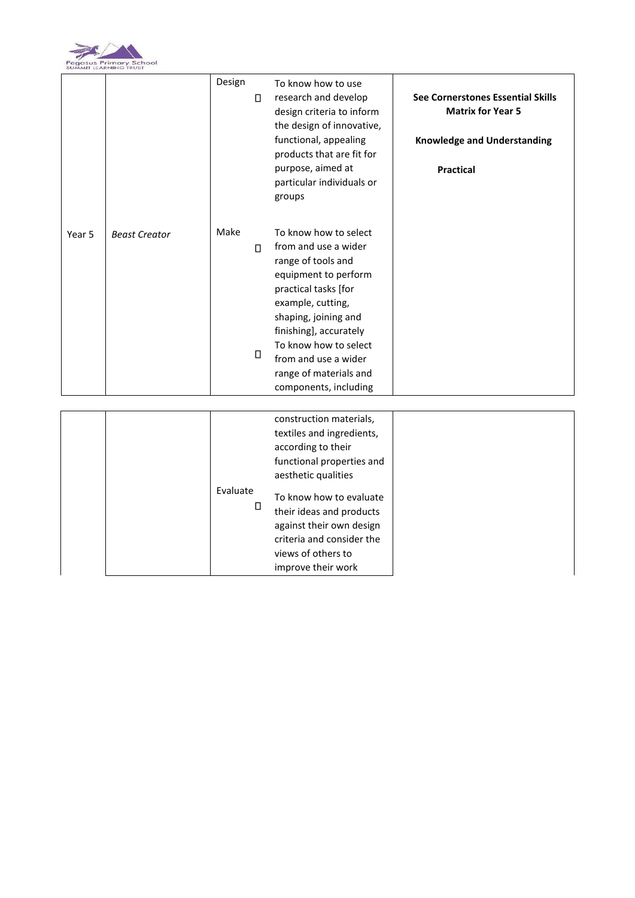

|        |                      | Design   | $\Box$       | To know how to use<br>research and develop<br>design criteria to inform<br>the design of innovative,<br>functional, appealing<br>products that are fit for<br>purpose, aimed at<br>particular individuals or<br>groups                                                                         | See Cornerstones Essential Skills<br><b>Matrix for Year 5</b><br><b>Knowledge and Understanding</b><br><b>Practical</b> |
|--------|----------------------|----------|--------------|------------------------------------------------------------------------------------------------------------------------------------------------------------------------------------------------------------------------------------------------------------------------------------------------|-------------------------------------------------------------------------------------------------------------------------|
| Year 5 | <b>Beast Creator</b> | Make     | П.<br>$\Box$ | To know how to select<br>from and use a wider<br>range of tools and<br>equipment to perform<br>practical tasks [for<br>example, cutting,<br>shaping, joining and<br>finishing], accurately<br>To know how to select<br>from and use a wider<br>range of materials and<br>components, including |                                                                                                                         |
|        |                      | Evaluate | Ω            | construction materials,<br>textiles and ingredients,<br>according to their<br>functional properties and<br>aesthetic qualities<br>To know how to evaluate<br>their ideas and products                                                                                                          |                                                                                                                         |

their ideas and products against their own design criteria and consider the views of others to improve their work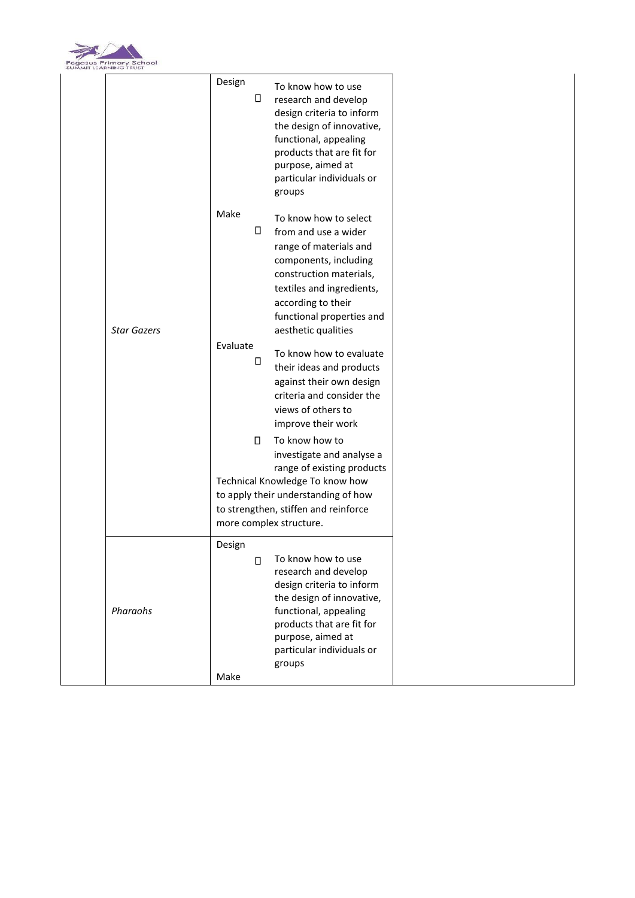

|                    | Design<br>To know how to use<br>□<br>research and develop<br>design criteria to inform<br>the design of innovative,<br>functional, appealing<br>products that are fit for<br>purpose, aimed at<br>particular individuals or<br>groups<br>Make<br>To know how to select                         |
|--------------------|------------------------------------------------------------------------------------------------------------------------------------------------------------------------------------------------------------------------------------------------------------------------------------------------|
| <b>Star Gazers</b> | 0<br>from and use a wider<br>range of materials and<br>components, including<br>construction materials,<br>textiles and ingredients,<br>according to their<br>functional properties and<br>aesthetic qualities                                                                                 |
|                    | Evaluate<br>To know how to evaluate<br>П<br>their ideas and products<br>against their own design<br>criteria and consider the<br>views of others to<br>improve their work<br>П<br>To know how to<br>investigate and analyse a<br>range of existing products<br>Technical Knowledge To know how |
|                    | to apply their understanding of how<br>to strengthen, stiffen and reinforce<br>more complex structure.<br>Design                                                                                                                                                                               |
| Pharaohs           | To know how to use<br>Π<br>research and develop<br>design criteria to inform<br>the design of innovative,<br>functional, appealing<br>products that are fit for<br>purpose, aimed at<br>particular individuals or<br>groups<br>Make                                                            |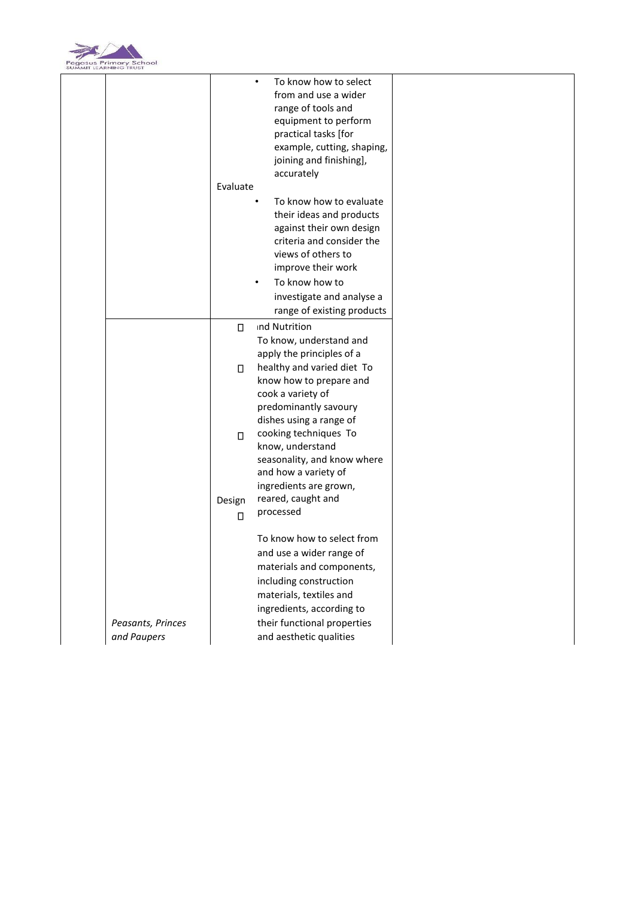

|                                  |                                                | To know how to select<br>from and use a wider<br>range of tools and<br>equipment to perform<br>practical tasks [for<br>example, cutting, shaping,<br>joining and finishing],<br>accurately                                                                                                                                                                                      |
|----------------------------------|------------------------------------------------|---------------------------------------------------------------------------------------------------------------------------------------------------------------------------------------------------------------------------------------------------------------------------------------------------------------------------------------------------------------------------------|
|                                  | Evaluate                                       | To know how to evaluate<br>their ideas and products<br>against their own design<br>criteria and consider the<br>views of others to<br>improve their work<br>To know how to<br>$\bullet$<br>investigate and analyse a<br>range of existing products                                                                                                                              |
|                                  | $\Box$<br>$\Box$<br>$\Box$<br>Design<br>$\Box$ | <b>Ind Nutrition</b><br>To know, understand and<br>apply the principles of a<br>healthy and varied diet To<br>know how to prepare and<br>cook a variety of<br>predominantly savoury<br>dishes using a range of<br>cooking techniques To<br>know, understand<br>seasonality, and know where<br>and how a variety of<br>ingredients are grown,<br>reared, caught and<br>processed |
| Peasants, Princes<br>and Paupers |                                                | To know how to select from<br>and use a wider range of<br>materials and components,<br>including construction<br>materials, textiles and<br>ingredients, according to<br>their functional properties<br>and aesthetic qualities                                                                                                                                                 |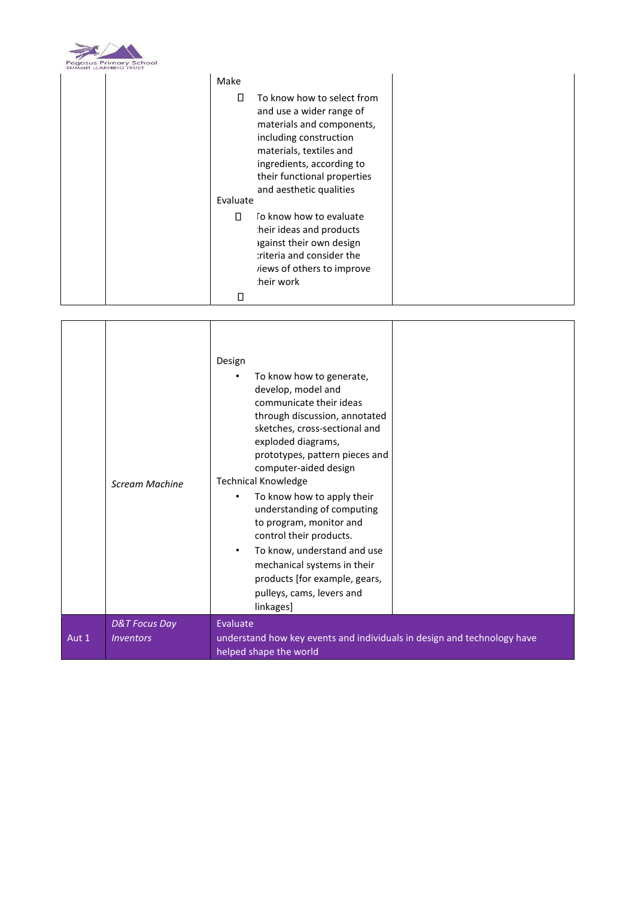

| Make |                                                                                                                                                                                                                                                  |  |
|------|--------------------------------------------------------------------------------------------------------------------------------------------------------------------------------------------------------------------------------------------------|--|
|      | П<br>To know how to select from<br>and use a wider range of<br>materials and components,<br>including construction<br>materials, textiles and<br>ingredients, according to<br>their functional properties<br>and aesthetic qualities<br>Evaluate |  |
|      | п<br>To know how to evaluate<br>heir ideas and products<br>against their own design<br>triteria and consider the<br>riews of others to improve<br>heir work                                                                                      |  |
|      |                                                                                                                                                                                                                                                  |  |

|       | Scream Machine                               | Design<br>To know how to generate,<br>develop, model and<br>communicate their ideas<br>through discussion, annotated<br>sketches, cross-sectional and<br>exploded diagrams,<br>prototypes, pattern pieces and<br>computer-aided design<br><b>Technical Knowledge</b><br>To know how to apply their<br>understanding of computing<br>to program, monitor and<br>control their products.<br>To know, understand and use<br>$\bullet$<br>mechanical systems in their<br>products [for example, gears,<br>pulleys, cams, levers and<br>linkages] |
|-------|----------------------------------------------|----------------------------------------------------------------------------------------------------------------------------------------------------------------------------------------------------------------------------------------------------------------------------------------------------------------------------------------------------------------------------------------------------------------------------------------------------------------------------------------------------------------------------------------------|
| Aut 1 | <b>D&amp;T Focus Day</b><br><b>Inventors</b> | Evaluate<br>understand how key events and individuals in design and technology have<br>helped shape the world                                                                                                                                                                                                                                                                                                                                                                                                                                |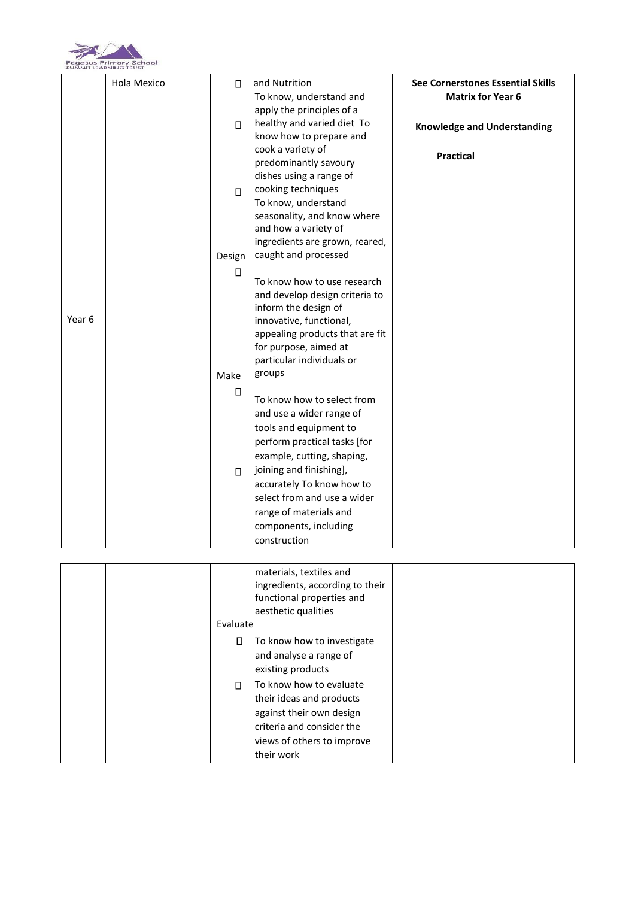

|        | Hola Mexico | П.     | and Nutrition                                 | See Cornerstones Essential Skills  |
|--------|-------------|--------|-----------------------------------------------|------------------------------------|
|        |             |        | To know, understand and                       | <b>Matrix for Year 6</b>           |
|        |             |        | apply the principles of a                     |                                    |
|        |             | П.     | healthy and varied diet To                    | <b>Knowledge and Understanding</b> |
|        |             |        | know how to prepare and                       |                                    |
|        |             |        | cook a variety of                             | <b>Practical</b>                   |
|        |             |        | predominantly savoury                         |                                    |
|        |             |        | dishes using a range of<br>cooking techniques |                                    |
|        |             | $\Box$ | To know, understand                           |                                    |
|        |             |        | seasonality, and know where                   |                                    |
|        |             |        | and how a variety of                          |                                    |
|        |             |        | ingredients are grown, reared,                |                                    |
|        |             | Design | caught and processed                          |                                    |
|        |             | $\Box$ |                                               |                                    |
|        |             |        | To know how to use research                   |                                    |
|        |             |        | and develop design criteria to                |                                    |
|        |             |        | inform the design of                          |                                    |
| Year 6 |             |        | innovative, functional,                       |                                    |
|        |             |        | appealing products that are fit               |                                    |
|        |             |        | for purpose, aimed at                         |                                    |
|        |             |        | particular individuals or                     |                                    |
|        |             | Make   | groups                                        |                                    |
|        |             | $\Box$ | To know how to select from                    |                                    |
|        |             |        | and use a wider range of                      |                                    |
|        |             |        | tools and equipment to                        |                                    |
|        |             |        | perform practical tasks [for                  |                                    |
|        |             |        | example, cutting, shaping,                    |                                    |
|        |             | $\Box$ | joining and finishing],                       |                                    |
|        |             |        | accurately To know how to                     |                                    |
|        |             |        | select from and use a wider                   |                                    |
|        |             |        | range of materials and                        |                                    |
|        |             |        | components, including                         |                                    |
|        |             |        | construction                                  |                                    |

| Evaluate | materials, textiles and<br>ingredients, according to their<br>functional properties and<br>aesthetic qualities                                           |  |
|----------|----------------------------------------------------------------------------------------------------------------------------------------------------------|--|
| $\Box$   | To know how to investigate<br>and analyse a range of<br>existing products                                                                                |  |
| П        | To know how to evaluate<br>their ideas and products<br>against their own design<br>criteria and consider the<br>views of others to improve<br>their work |  |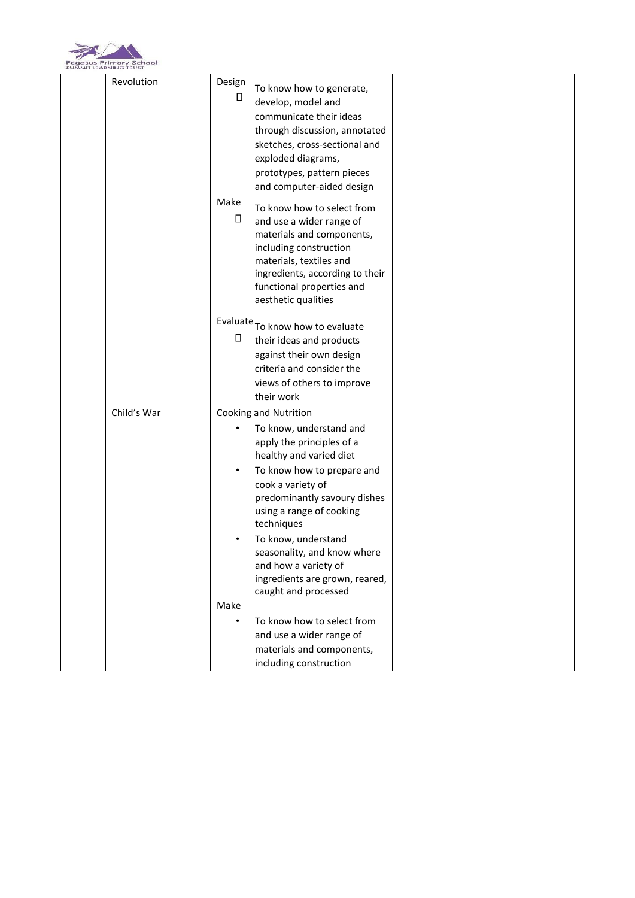

| Revolution  | Design<br>To know how to generate,<br>$\Box$<br>develop, model and<br>communicate their ideas<br>through discussion, annotated<br>sketches, cross-sectional and<br>exploded diagrams,<br>prototypes, pattern pieces<br>and computer-aided design<br>Make<br>To know how to select from<br>0<br>and use a wider range of<br>materials and components,<br>including construction<br>materials, textiles and<br>ingredients, according to their<br>functional properties and<br>aesthetic qualities |  |
|-------------|--------------------------------------------------------------------------------------------------------------------------------------------------------------------------------------------------------------------------------------------------------------------------------------------------------------------------------------------------------------------------------------------------------------------------------------------------------------------------------------------------|--|
|             | Evaluate To know how to evaluate<br>П<br>their ideas and products<br>against their own design<br>criteria and consider the<br>views of others to improve<br>their work                                                                                                                                                                                                                                                                                                                           |  |
| Child's War | Cooking and Nutrition<br>To know, understand and<br>apply the principles of a<br>healthy and varied diet<br>To know how to prepare and<br>$\bullet$<br>cook a variety of<br>predominantly savoury dishes<br>using a range of cooking<br>techniques<br>To know, understand<br>٠<br>seasonality, and know where<br>and how a variety of<br>ingredients are grown, reared,<br>caught and processed<br>Make<br>To know how to select from<br>and use a wider range of<br>materials and components,   |  |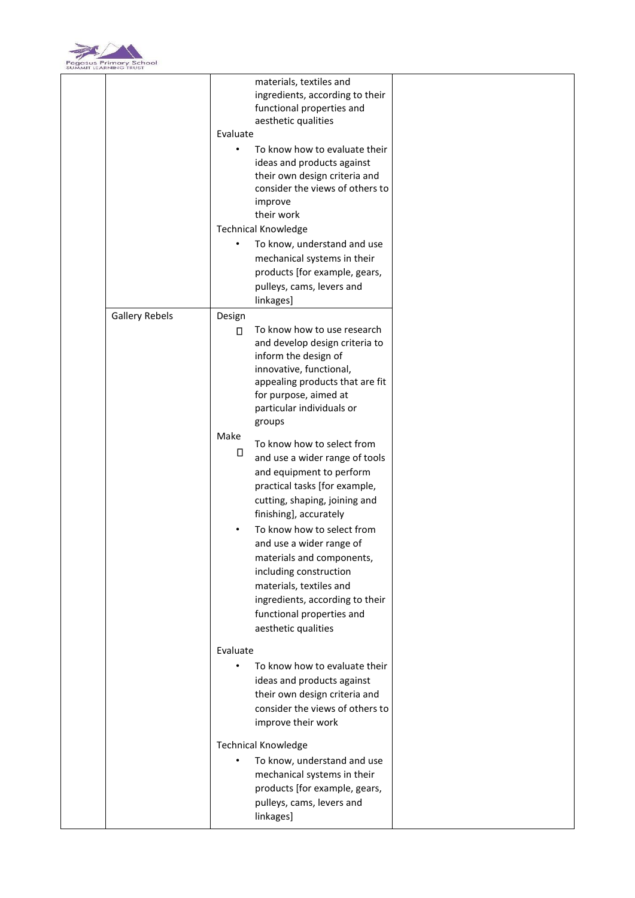

|                       | materials, textiles and<br>ingredients, according to their<br>functional properties and<br>aesthetic qualities<br>Evaluate                                                                                                                                                                                                                                                                                                           |
|-----------------------|--------------------------------------------------------------------------------------------------------------------------------------------------------------------------------------------------------------------------------------------------------------------------------------------------------------------------------------------------------------------------------------------------------------------------------------|
|                       | To know how to evaluate their<br>$\bullet$<br>ideas and products against<br>their own design criteria and<br>consider the views of others to<br>improve<br>their work                                                                                                                                                                                                                                                                |
|                       | <b>Technical Knowledge</b>                                                                                                                                                                                                                                                                                                                                                                                                           |
|                       | To know, understand and use<br>$\bullet$<br>mechanical systems in their<br>products [for example, gears,<br>pulleys, cams, levers and<br>linkages]                                                                                                                                                                                                                                                                                   |
| <b>Gallery Rebels</b> | Design<br>To know how to use research<br>$\Box$<br>and develop design criteria to<br>inform the design of<br>innovative, functional,<br>appealing products that are fit<br>for purpose, aimed at<br>particular individuals or<br>groups                                                                                                                                                                                              |
|                       | Make<br>To know how to select from<br>П<br>and use a wider range of tools<br>and equipment to perform<br>practical tasks [for example,<br>cutting, shaping, joining and<br>finishing], accurately<br>To know how to select from<br>and use a wider range of<br>materials and components,<br>including construction<br>materials, textiles and<br>ingredients, according to their<br>functional properties and<br>aesthetic qualities |
|                       | Evaluate                                                                                                                                                                                                                                                                                                                                                                                                                             |
|                       | To know how to evaluate their<br>$\bullet$<br>ideas and products against<br>their own design criteria and<br>consider the views of others to<br>improve their work                                                                                                                                                                                                                                                                   |
|                       | <b>Technical Knowledge</b><br>To know, understand and use<br>mechanical systems in their<br>products [for example, gears,<br>pulleys, cams, levers and<br>linkages]                                                                                                                                                                                                                                                                  |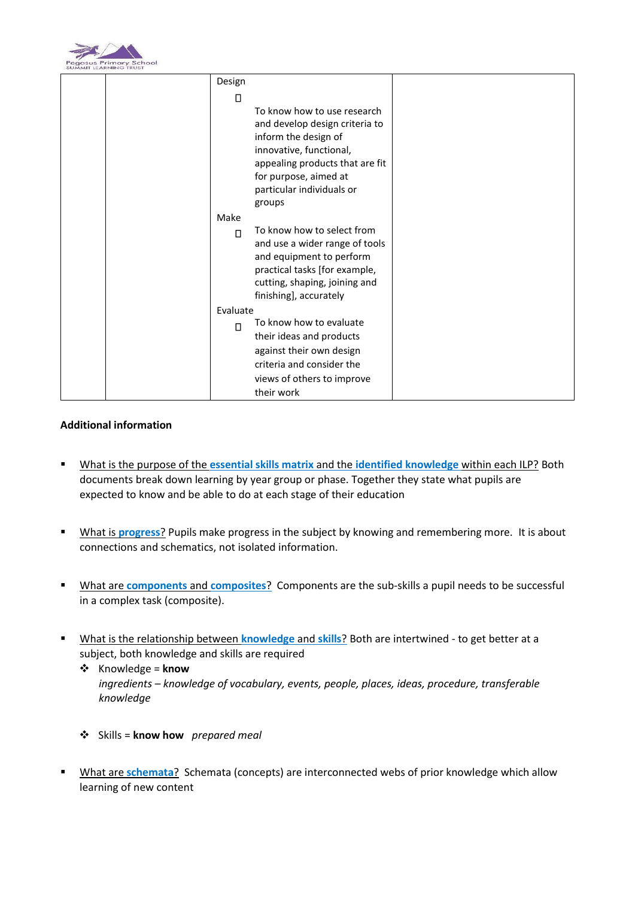

| П      |                                                                                                                                                                                  |                                                                                                                                                                                   |
|--------|----------------------------------------------------------------------------------------------------------------------------------------------------------------------------------|-----------------------------------------------------------------------------------------------------------------------------------------------------------------------------------|
|        | To know how to use research<br>and develop design criteria to<br>inform the design of<br>innovative, functional,<br>appealing products that are fit<br>particular individuals or |                                                                                                                                                                                   |
|        |                                                                                                                                                                                  |                                                                                                                                                                                   |
| П.     | and equipment to perform<br>practical tasks [for example,<br>cutting, shaping, joining and                                                                                       |                                                                                                                                                                                   |
|        |                                                                                                                                                                                  |                                                                                                                                                                                   |
| $\Box$ | To know how to evaluate<br>their ideas and products<br>against their own design<br>criteria and consider the                                                                     |                                                                                                                                                                                   |
|        | Design<br>Make                                                                                                                                                                   | for purpose, aimed at<br>groups<br>To know how to select from<br>and use a wider range of tools<br>finishing], accurately<br>Evaluate<br>views of others to improve<br>their work |

### **Additional information**

- What is the purpose of the **essential skills matrix** and the **identified knowledge** within each ILP? Both documents break down learning by year group or phase. Together they state what pupils are expected to know and be able to do at each stage of their education
- What is **progress**? Pupils make progress in the subject by knowing and remembering more. It is about connections and schematics, not isolated information.
- What are **components** and **composites**? Components are the sub-skills a pupil needs to be successful in a complex task (composite).
- What is the relationship between **knowledge** and **skills**? Both are intertwined to get better at a subject, both knowledge and skills are required
	- Knowledge = **know** *ingredients – knowledge of vocabulary, events, people, places, ideas, procedure, transferable knowledge*
	- Skills = **know how** *prepared meal*
- What are **schemata**? Schemata (concepts) are interconnected webs of prior knowledge which allow learning of new content